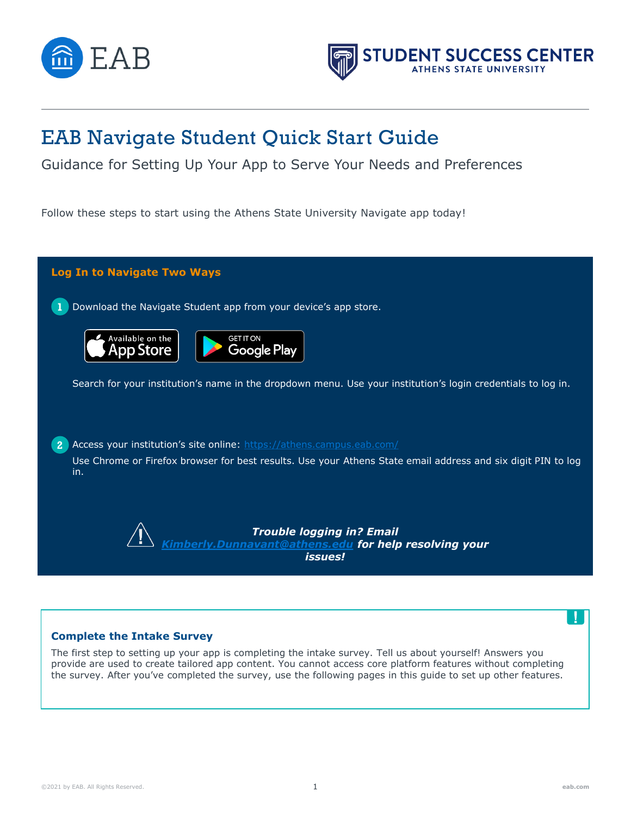



# EAB Navigate Student Quick Start Guide

Guidance for Setting Up Your App to Serve Your Needs and Preferences

Follow these steps to start using the Athens State University Navigate app today!



# **Complete the Intake Survey**

The first step to setting up your app is completing the intake survey. Tell us about yourself! Answers you provide are used to create tailored app content. You cannot access core platform features without completing the survey. After you've completed the survey, use the following pages in this guide to set up other features.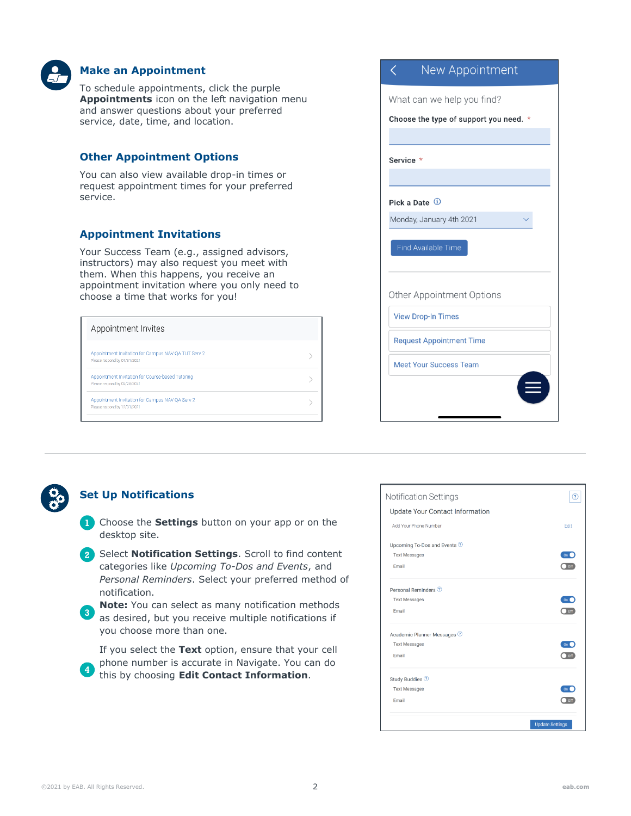

# **Make an Appointment**

To schedule appointments, click the purple **Appointments** icon on the left navigation menu and answer questions about your preferred service, date, time, and location.

# **Other Appointment Options**

You can also view available drop-in times or request appointment times for your preferred service.

# **Appointment Invitations**

Your Success Team (e.g., assigned advisors, instructors) may also request you meet with them. When this happens, you receive an appointment invitation where you only need to choose a time that works for you!

| Appointment Invites                                                                 |  |
|-------------------------------------------------------------------------------------|--|
| Appointment Invitation for Campus NAV OA TUT Serv 2<br>Please respond by 01/31/2021 |  |
| Appointment Invitation for Course-based Tutoring<br>Please respond by 02/28/2021    |  |
| Appointment Invitation for Campus NAV OA Serv 2<br>Please respond by 12/31/2021     |  |

| <b>INEW APPOILITIELIT</b>              |
|----------------------------------------|
| What can we help you find?             |
| Choose the type of support you need. * |
|                                        |
| Service *                              |
|                                        |
| Pick a Date <sup>1</sup>               |
| Monday, January 4th 2021               |
| <b>Find Available Time</b>             |
| Other Appointment Options              |
| <b>View Drop-In Times</b>              |
| <b>Request Appointment Time</b>        |
| <b>Meet Your Success Team</b>          |
|                                        |
|                                        |



# **Set Up Notifications**

- **1** Choose the **Settings** button on your app or on the desktop site.
- **2** Select **Notification Settings**. Scroll to find content categories like *Upcoming To-Dos and Events*, and *Personal Reminders*. Select your preferred method of notification.
- **3 Note:** You can select as many notification methods as desired, but you receive multiple notifications if you choose more than one.

If you select the **Text** option, ensure that your cell phone number is accurate in Navigate. You can do this by choosing **Edit Contact Information**.

| <b>Notification Settings</b>    | 7                      |
|---------------------------------|------------------------|
| Update Your Contact Information |                        |
| Add Your Phone Number           | Edit                   |
| Upcoming To-Dos and Events ?    |                        |
| <b>Text Messages</b>            | On <sub>1</sub>        |
| Email                           | <b>Off</b>             |
| Personal Reminders 2            |                        |
| <b>Text Messages</b>            | On <sub>1</sub>        |
| Fmail                           | off                    |
| Academic Planner Messages ?     |                        |
| <b>Text Messages</b>            | On                     |
| Email                           | Off                    |
| Study Buddies <sup>2</sup>      |                        |
| <b>Text Messages</b>            | On                     |
| Email                           | Off                    |
|                                 | <b>Update Settings</b> |
|                                 |                        |

**4**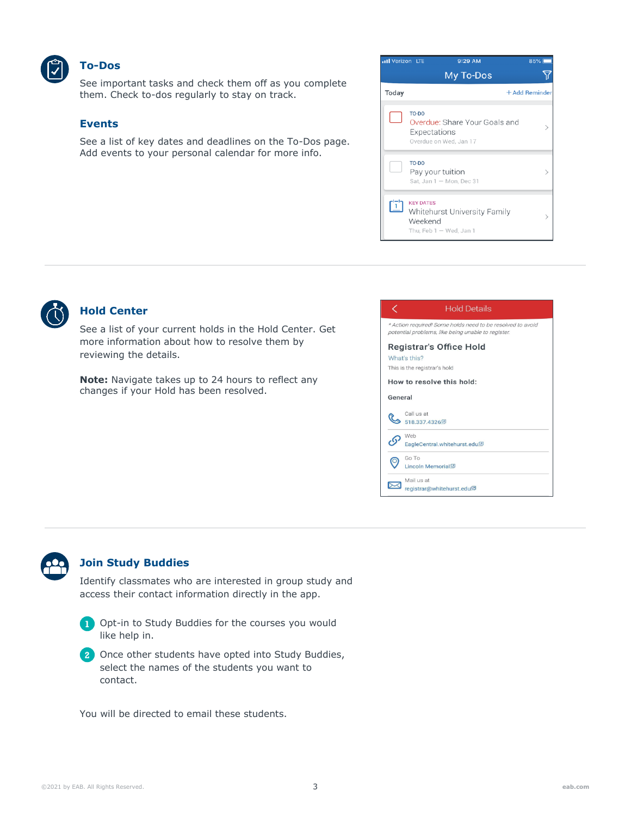

#### **To-Dos**

See important tasks and check them off as you complete them. Check to-dos regularly to stay on track.

#### **Events**

See a list of key dates and deadlines on the To-Dos page. Add events to your personal calendar for more info.

| My To-Dos |                                                                                                                                                                                                                                              |
|-----------|----------------------------------------------------------------------------------------------------------------------------------------------------------------------------------------------------------------------------------------------|
|           | + Add Reminder                                                                                                                                                                                                                               |
|           |                                                                                                                                                                                                                                              |
|           |                                                                                                                                                                                                                                              |
|           |                                                                                                                                                                                                                                              |
|           | TO-DO<br>Overdue: Share Your Goals and<br>Expectations<br>Overdue on Wed, Jan 17<br>TO-DO<br>Pay your tuition<br>Sat, Jan 1 - Mon, Dec 31<br><b>KEY DATES</b><br><b>Whitehurst University Family</b><br>Weekend<br>Thu, Feb $1 -$ Wed, Jan 1 |



# **Hold Center**

See a list of your current holds in the Hold Center. Get more information about how to resolve them by reviewing the details.

**Note:** Navigate takes up to 24 hours to reflect any changes if your Hold has been resolved.

| <b>Hold Details</b>                                                                                              |
|------------------------------------------------------------------------------------------------------------------|
| * Action required! Some holds need to be resolved to avoid<br>potential problems, like being unable to register. |
| Registrar's Office Hold<br>What's this?<br>This is the registrar's hold                                          |
| How to resolve this hold:                                                                                        |
| General                                                                                                          |
| Call us at<br>518 337 4326 回                                                                                     |
| Web<br>EagleCentral.whitehurst.edu <sup>[2]</sup>                                                                |
| Go To<br>Lincoln Memorial <sup>[2]</sup>                                                                         |
| Mail us at<br>registrar@whitehurst.edu <sup>[2]</sup>                                                            |



## **Join Study Buddies**

Identify classmates who are interested in group study and access their contact information directly in the app.



**1** Opt-in to Study Buddies for the courses you would like help in.

**2** Once other students have opted into Study Buddies, select the names of the students you want to contact.

You will be directed to email these students.